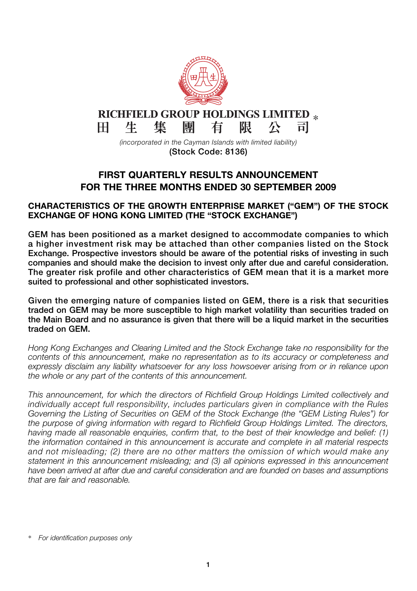

**(Stock Code: 8136)**

## **FIRST QUARTERLY RESULTS ANNOUNCEMENT FOR THE THREE MONTHS ENDED 30 SEPTEMBER 2009**

## **CHARACTERISTICS OF THE GROWTH ENTERPRISE MARKET ("GEM") OF THE STOCK EXCHANGE OF HONG KONG LIMITED (THE "STOCK EXCHANGE")**

**GEM has been positioned as a market designed to accommodate companies to which a higher investment risk may be attached than other companies listed on the Stock Exchange. Prospective investors should be aware of the potential risks of investing in such companies and should make the decision to invest only after due and careful consideration. The greater risk profile and other characteristics of GEM mean that it is a market more suited to professional and other sophisticated investors.**

**Given the emerging nature of companies listed on GEM, there is a risk that securities traded on GEM may be more susceptible to high market volatility than securities traded on the Main Board and no assurance is given that there will be a liquid market in the securities traded on GEM.**

*Hong Kong Exchanges and Clearing Limited and the Stock Exchange take no responsibility for the contents of this announcement, make no representation as to its accuracy or completeness and expressly disclaim any liability whatsoever for any loss howsoever arising from or in reliance upon the whole or any part of the contents of this announcement.*

*This announcement, for which the directors of Richfield Group Holdings Limited collectively and individually accept full responsibility, includes particulars given in compliance with the Rules Governing the Listing of Securities on GEM of the Stock Exchange (the "GEM Listing Rules") for the purpose of giving information with regard to Richfield Group Holdings Limited. The directors, having made all reasonable enquiries, confirm that, to the best of their knowledge and belief: (1) the information contained in this announcement is accurate and complete in all material respects and not misleading; (2) there are no other matters the omission of which would make any statement in this announcement misleading; and (3) all opinions expressed in this announcement have been arrived at after due and careful consideration and are founded on bases and assumptions that are fair and reasonable.*

<sup>\*</sup> *For identification purposes only*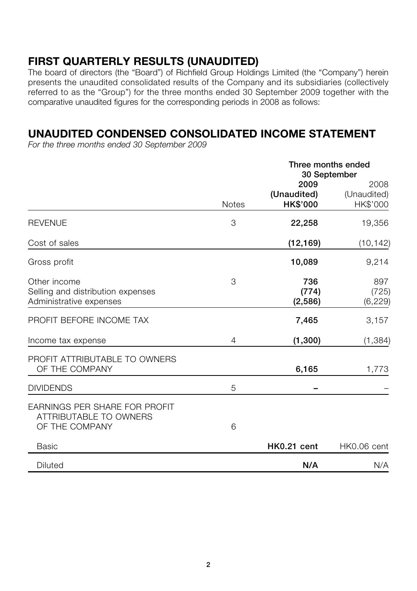# **FIRST QUARTERLY RESULTS (UNAUDITED)**

The board of directors (the "Board") of Richfield Group Holdings Limited (the "Company") herein presents the unaudited consolidated results of the Company and its subsidiaries (collectively referred to as the "Group") for the three months ended 30 September 2009 together with the comparative unaudited figures for the corresponding periods in 2008 as follows:

# **UNAUDITED CONDENSED CONSOLIDATED INCOME STATEMENT**

*For the three months ended 30 September 2009*

|                                                                              |              | Three months ended<br>30 September |                                 |  |
|------------------------------------------------------------------------------|--------------|------------------------------------|---------------------------------|--|
|                                                                              | <b>Notes</b> | 2009<br>(Unaudited)<br>HK\$'000    | 2008<br>(Unaudited)<br>HK\$'000 |  |
| <b>REVENUE</b>                                                               | 3            | 22,258                             | 19,356                          |  |
| Cost of sales                                                                |              | (12, 169)                          | (10, 142)                       |  |
| Gross profit                                                                 |              | 10,089                             | 9,214                           |  |
| Other income<br>Selling and distribution expenses<br>Administrative expenses | 3            | 736<br>(774)<br>(2,586)            | 897<br>(725)<br>(6, 229)        |  |
| PROFIT BEFORE INCOME TAX                                                     |              | 7,465                              | 3,157                           |  |
| Income tax expense                                                           | 4            | (1,300)                            | (1, 384)                        |  |
| PROFIT ATTRIBUTABLE TO OWNERS<br>OF THE COMPANY                              |              | 6,165                              | 1,773                           |  |
| <b>DIVIDENDS</b>                                                             | 5            |                                    |                                 |  |
| EARNINGS PER SHARE FOR PROFIT<br>ATTRIBUTABLE TO OWNERS<br>OF THE COMPANY    | 6            |                                    |                                 |  |
| <b>Basic</b>                                                                 |              | HK0.21 cent                        | HK0.06 cent                     |  |
| <b>Diluted</b>                                                               |              | N/A                                | N/A                             |  |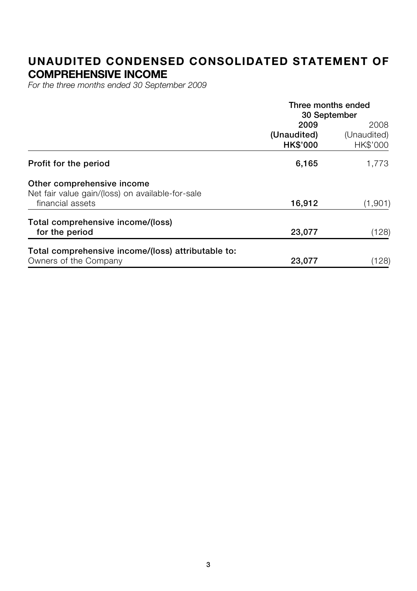## **UNAUDITED CONDENSED CONSOLIDATED STATEMENT OF COMPREHENSIVE INCOME**

*For the three months ended 30 September 2009*

|                                                    | Three months ended |             |  |
|----------------------------------------------------|--------------------|-------------|--|
|                                                    | 30 September       |             |  |
|                                                    | 2009               | 2008        |  |
|                                                    | (Unaudited)        | (Unaudited) |  |
|                                                    | <b>HK\$'000</b>    | HK\$'000    |  |
| Profit for the period                              | 6,165              | 1.773       |  |
| Other comprehensive income                         |                    |             |  |
| Net fair value gain/(loss) on available-for-sale   |                    |             |  |
| financial assets                                   | 16,912             | (1,901)     |  |
| Total comprehensive income/(loss)                  |                    |             |  |
| for the period                                     | 23,077             | (128)       |  |
| Total comprehensive income/(loss) attributable to: |                    |             |  |
| Owners of the Company                              | 23,077             | (128)       |  |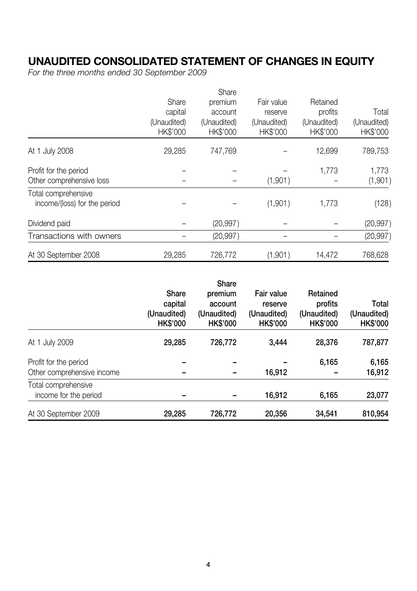# **UNAUDITED CONSOLIDATED STATEMENT OF CHANGES IN EQUITY**

*For the three months ended 30 September 2009*

|                              |                         | Share                   |                         |                         |                         |
|------------------------------|-------------------------|-------------------------|-------------------------|-------------------------|-------------------------|
|                              | Share                   | premium                 | Fair value              | Retained                |                         |
|                              | capital                 | account                 | reserve                 | profits                 | Total                   |
|                              | (Unaudited)<br>HK\$'000 | (Unaudited)<br>HK\$'000 | (Unaudited)<br>HK\$'000 | (Unaudited)<br>HK\$'000 | (Unaudited)<br>HK\$'000 |
| At 1 July 2008               | 29,285                  | 747,769                 |                         | 12,699                  | 789,753                 |
| Profit for the period        |                         |                         |                         | 1.773                   | 1,773                   |
| Other comprehensive loss     |                         |                         | (1,901)                 |                         | (1,901)                 |
| Total comprehensive          |                         |                         |                         |                         |                         |
| income/(loss) for the period |                         |                         | (1,901)                 | 1,773                   | (128)                   |
| Dividend paid                |                         | (20, 997)               |                         |                         | (20, 997)               |
| Transactions with owners     |                         | (20, 997)               |                         |                         | (20, 997)               |
| At 30 September 2008         | 29,285                  | 726,772                 | (1,901)                 | 14,472                  | 768,628                 |

|                                                     | Share<br>capital<br>(Unaudited)<br><b>HK\$'000</b> | Share<br>premium<br>account<br>(Unaudited)<br><b>HK\$'000</b> | Fair value<br>reserve<br>(Unaudited)<br><b>HK\$'000</b> | Retained<br>profits<br>(Unaudited)<br><b>HK\$'000</b> | Total<br>(Unaudited)<br><b>HK\$'000</b> |
|-----------------------------------------------------|----------------------------------------------------|---------------------------------------------------------------|---------------------------------------------------------|-------------------------------------------------------|-----------------------------------------|
| At 1 July 2009                                      | 29,285                                             | 726.772                                                       | 3.444                                                   | 28,376                                                | 787,877                                 |
| Profit for the period<br>Other comprehensive income |                                                    |                                                               | 16,912                                                  | 6.165                                                 | 6,165<br>16,912                         |
| Total comprehensive<br>income for the period        |                                                    |                                                               | 16,912                                                  | 6,165                                                 | 23,077                                  |
| At 30 September 2009                                | 29,285                                             | 726.772                                                       | 20,356                                                  | 34,541                                                | 810,954                                 |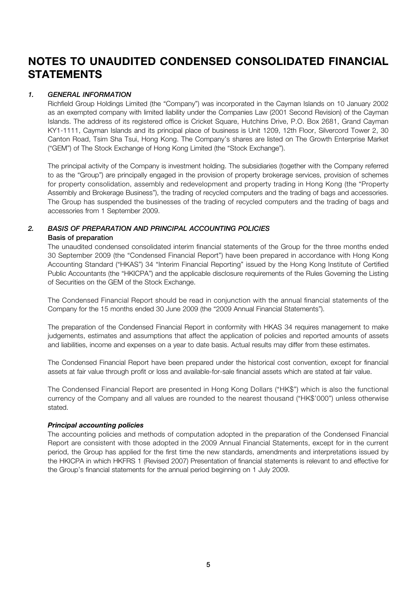# **NOTES TO UNAUDITED CONDENSED CONSOLIDATED FINANCIAL STATEMENTS**

#### *1. GENERAL INFORMATION*

Richfield Group Holdings Limited (the "Company") was incorporated in the Cayman Islands on 10 January 2002 as an exempted company with limited liability under the Companies Law (2001 Second Revision) of the Cayman Islands. The address of its registered office is Cricket Square, Hutchins Drive, P.O. Box 2681, Grand Cayman KY1-1111, Cayman Islands and its principal place of business is Unit 1209, 12th Floor, Silvercord Tower 2, 30 Canton Road, Tsim Sha Tsui, Hong Kong. The Company's shares are listed on The Growth Enterprise Market ("GEM") of The Stock Exchange of Hong Kong Limited (the "Stock Exchange").

The principal activity of the Company is investment holding. The subsidiaries (together with the Company referred to as the "Group") are principally engaged in the provision of property brokerage services, provision of schemes for property consolidation, assembly and redevelopment and property trading in Hong Kong (the "Property Assembly and Brokerage Business"), the trading of recycled computers and the trading of bags and accessories. The Group has suspended the businesses of the trading of recycled computers and the trading of bags and accessories from 1 September 2009.

## *2. BASIS OF PREPARATION AND PRINCIPAL ACCOUNTING POLICIES*

#### **Basis of preparation**

The unaudited condensed consolidated interim financial statements of the Group for the three months ended 30 September 2009 (the "Condensed Financial Report") have been prepared in accordance with Hong Kong Accounting Standard ("HKAS") 34 "Interim Financial Reporting" issued by the Hong Kong Institute of Certified Public Accountants (the "HKICPA") and the applicable disclosure requirements of the Rules Governing the Listing of Securities on the GEM of the Stock Exchange.

The Condensed Financial Report should be read in conjunction with the annual financial statements of the Company for the 15 months ended 30 June 2009 (the "2009 Annual Financial Statements").

The preparation of the Condensed Financial Report in conformity with HKAS 34 requires management to make judgements, estimates and assumptions that affect the application of policies and reported amounts of assets and liabilities, income and expenses on a year to date basis. Actual results may differ from these estimates.

The Condensed Financial Report have been prepared under the historical cost convention, except for financial assets at fair value through profit or loss and available-for-sale financial assets which are stated at fair value.

The Condensed Financial Report are presented in Hong Kong Dollars ("HK\$") which is also the functional currency of the Company and all values are rounded to the nearest thousand ("HK\$'000") unless otherwise stated.

*Principal accounting policies* The accounting policies and methods of computation adopted in the preparation of the Condensed Financial Report are consistent with those adopted in the 2009 Annual Financial Statements, except for in the current period, the Group has applied for the first time the new standards, amendments and interpretations issued by the HKICPA in which HKFRS 1 (Revised 2007) Presentation of financial statements is relevant to and effective for the Group's financial statements for the annual period beginning on 1 July 2009.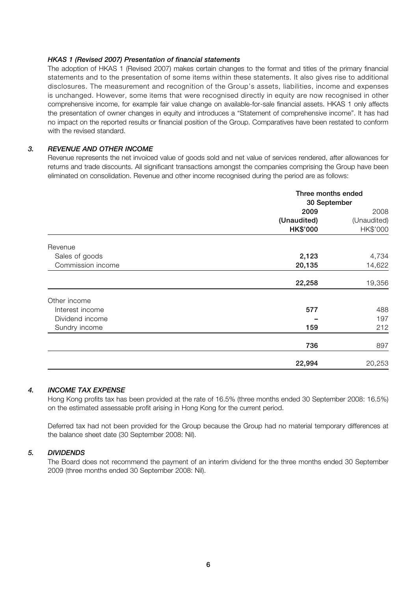#### *HKAS 1 (Revised 2007) Presentation of financial statements*

The adoption of HKAS 1 (Revised 2007) makes certain changes to the format and titles of the primary financial statements and to the presentation of some items within these statements. It also gives rise to additional disclosures. The measurement and recognition of the Group's assets, liabilities, income and expenses is unchanged. However, some items that were recognised directly in equity are now recognised in other comprehensive income, for example fair value change on available-for-sale financial assets. HKAS 1 only affects the presentation of owner changes in equity and introduces a "Statement of comprehensive income". It has had no impact on the reported results or financial position of the Group. Comparatives have been restated to conform with the revised standard.

### *3. REVENUE AND OTHER INCOME*

Revenue represents the net invoiced value of goods sold and net value of services rendered, after allowances for returns and trade discounts. All significant transactions amongst the companies comprising the Group have been eliminated on consolidation. Revenue and other income recognised during the period are as follows:

|                   | Three months ended<br>30 September |             |  |
|-------------------|------------------------------------|-------------|--|
|                   | 2009                               | 2008        |  |
|                   | (Unaudited)                        | (Unaudited) |  |
|                   | <b>HK\$'000</b>                    | HK\$'000    |  |
| Revenue           |                                    |             |  |
| Sales of goods    | 2,123                              | 4,734       |  |
| Commission income | 20,135                             | 14,622      |  |
|                   | 22,258                             | 19,356      |  |
| Other income      |                                    |             |  |
| Interest income   | 577                                | 488         |  |
| Dividend income   |                                    | 197         |  |
| Sundry income     | 159                                | 212         |  |
|                   | 736                                | 897         |  |
|                   | 22,994                             | 20,253      |  |

#### *4. INCOME TAX EXPENSE*

Hong Kong profits tax has been provided at the rate of 16.5% (three months ended 30 September 2008: 16.5%) on the estimated assessable profit arising in Hong Kong for the current period.

Deferred tax had not been provided for the Group because the Group had no material temporary differences at the balance sheet date (30 September 2008: Nil).

#### *5. DIVIDENDS*

The Board does not recommend the payment of an interim dividend for the three months ended 30 September 2009 (three months ended 30 September 2008: Nil).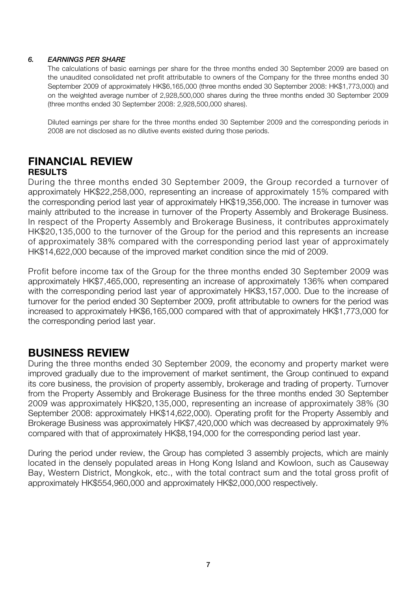## *6. EARNINGS PER SHARE*

The calculations of basic earnings per share for the three months ended 30 September 2009 are based on the unaudited consolidated net profit attributable to owners of the Company for the three months ended 30 September 2009 of approximately HK\$6,165,000 (three months ended 30 September 2008: HK\$1,773,000) and on the weighted average number of 2,928,500,000 shares during the three months ended 30 September 2009 (three months ended 30 September 2008: 2,928,500,000 shares).

Diluted earnings per share for the three months ended 30 September 2009 and the corresponding periods in 2008 are not disclosed as no dilutive events existed during those periods.

## **FINANCIAL REVIEW RESULTS**

During the three months ended 30 September 2009, the Group recorded a turnover of approximately HK\$22,258,000, representing an increase of approximately 15% compared with the corresponding period last year of approximately HK\$19,356,000. The increase in turnover was mainly attributed to the increase in turnover of the Property Assembly and Brokerage Business. In respect of the Property Assembly and Brokerage Business, it contributes approximately HK\$20,135,000 to the turnover of the Group for the period and this represents an increase of approximately 38% compared with the corresponding period last year of approximately HK\$14,622,000 because of the improved market condition since the mid of 2009.

Profit before income tax of the Group for the three months ended 30 September 2009 was approximately HK\$7,465,000, representing an increase of approximately 136% when compared with the corresponding period last year of approximately HK\$3,157,000. Due to the increase of turnover for the period ended 30 September 2009, profit attributable to owners for the period was increased to approximately HK\$6,165,000 compared with that of approximately HK\$1,773,000 for the corresponding period last year.

# **BUSINESS REVIEW**

During the three months ended 30 September 2009, the economy and property market were improved gradually due to the improvement of market sentiment, the Group continued to expand its core business, the provision of property assembly, brokerage and trading of property. Turnover from the Property Assembly and Brokerage Business for the three months ended 30 September 2009 was approximately HK\$20,135,000, representing an increase of approximately 38% (30 September 2008: approximately HK\$14,622,000). Operating profit for the Property Assembly and Brokerage Business was approximately HK\$7,420,000 which was decreased by approximately 9% compared with that of approximately HK\$8,194,000 for the corresponding period last year.

During the period under review, the Group has completed 3 assembly projects, which are mainly located in the densely populated areas in Hong Kong Island and Kowloon, such as Causeway Bay, Western District, Mongkok, etc., with the total contract sum and the total gross profit of approximately HK\$554,960,000 and approximately HK\$2,000,000 respectively.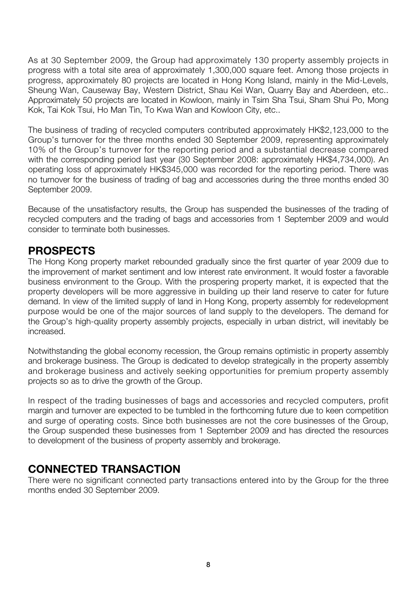As at 30 September 2009, the Group had approximately 130 property assembly projects in progress with a total site area of approximately 1,300,000 square feet. Among those projects in progress, approximately 80 projects are located in Hong Kong Island, mainly in the Mid-Levels, Sheung Wan, Causeway Bay, Western District, Shau Kei Wan, Quarry Bay and Aberdeen, etc.. Approximately 50 projects are located in Kowloon, mainly in Tsim Sha Tsui, Sham Shui Po, Mong Kok, Tai Kok Tsui, Ho Man Tin, To Kwa Wan and Kowloon City, etc..

The business of trading of recycled computers contributed approximately HK\$2,123,000 to the Group's turnover for the three months ended 30 September 2009, representing approximately 10% of the Group's turnover for the reporting period and a substantial decrease compared with the corresponding period last year (30 September 2008: approximately HK\$4,734,000). An operating loss of approximately HK\$345,000 was recorded for the reporting period. There was no turnover for the business of trading of bag and accessories during the three months ended 30 September 2009.

Because of the unsatisfactory results, the Group has suspended the businesses of the trading of recycled computers and the trading of bags and accessories from 1 September 2009 and would consider to terminate both businesses.

# **PROSPECTS**

The Hong Kong property market rebounded gradually since the first quarter of year 2009 due to the improvement of market sentiment and low interest rate environment. It would foster a favorable business environment to the Group. With the prospering property market, it is expected that the property developers will be more aggressive in building up their land reserve to cater for future demand. In view of the limited supply of land in Hong Kong, property assembly for redevelopment purpose would be one of the major sources of land supply to the developers. The demand for the Group's high-quality property assembly projects, especially in urban district, will inevitably be increased.

Notwithstanding the global economy recession, the Group remains optimistic in property assembly and brokerage business. The Group is dedicated to develop strategically in the property assembly and brokerage business and actively seeking opportunities for premium property assembly projects so as to drive the growth of the Group.

In respect of the trading businesses of bags and accessories and recycled computers, profit margin and turnover are expected to be tumbled in the forthcoming future due to keen competition and surge of operating costs. Since both businesses are not the core businesses of the Group, the Group suspended these businesses from 1 September 2009 and has directed the resources to development of the business of property assembly and brokerage.

## **CONNECTED TRANSACTION**

There were no significant connected party transactions entered into by the Group for the three months ended 30 September 2009.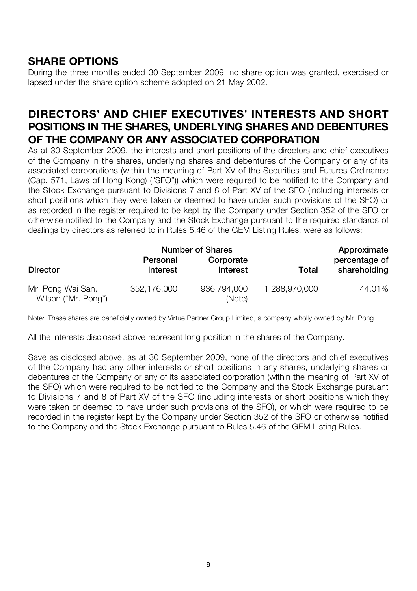# **SHARE OPTIONS**

During the three months ended 30 September 2009, no share option was granted, exercised or lapsed under the share option scheme adopted on 21 May 2002.

# **DIRECTORS' AND CHIEF EXECUTIVES' INTERESTS AND SHORT POSITIONS IN THE SHARES, UNDERLYING SHARES AND DEBENTURES OF THE COMPANY OR ANY ASSOCIATED CORPORATION**

As at 30 September 2009, the interests and short positions of the directors and chief executives of the Company in the shares, underlying shares and debentures of the Company or any of its associated corporations (within the meaning of Part XV of the Securities and Futures Ordinance (Cap. 571, Laws of Hong Kong) ("SFO")) which were required to be notified to the Company and the Stock Exchange pursuant to Divisions 7 and 8 of Part XV of the SFO (including interests or short positions which they were taken or deemed to have under such provisions of the SFO) or as recorded in the register required to be kept by the Company under Section 352 of the SFO or otherwise notified to the Company and the Stock Exchange pursuant to the required standards of dealings by directors as referred to in Rules 5.46 of the GEM Listing Rules, were as follows:

|                                          |                      | <b>Number of Shares</b> |               | Approximate                   |
|------------------------------------------|----------------------|-------------------------|---------------|-------------------------------|
| <b>Director</b>                          | Personal<br>interest | Corporate<br>interest   | Total         | percentage of<br>shareholding |
| Mr. Pong Wai San,<br>Wilson ("Mr. Pong") | 352.176.000          | 936.794.000<br>(Note)   | 1,288,970,000 | 44.01%                        |

Note: These shares are beneficially owned by Virtue Partner Group Limited, a company wholly owned by Mr. Pong.

All the interests disclosed above represent long position in the shares of the Company.

Save as disclosed above, as at 30 September 2009, none of the directors and chief executives of the Company had any other interests or short positions in any shares, underlying shares or debentures of the Company or any of its associated corporation (within the meaning of Part XV of the SFO) which were required to be notified to the Company and the Stock Exchange pursuant to Divisions 7 and 8 of Part XV of the SFO (including interests or short positions which they were taken or deemed to have under such provisions of the SFO), or which were required to be recorded in the register kept by the Company under Section 352 of the SFO or otherwise notified to the Company and the Stock Exchange pursuant to Rules 5.46 of the GEM Listing Rules.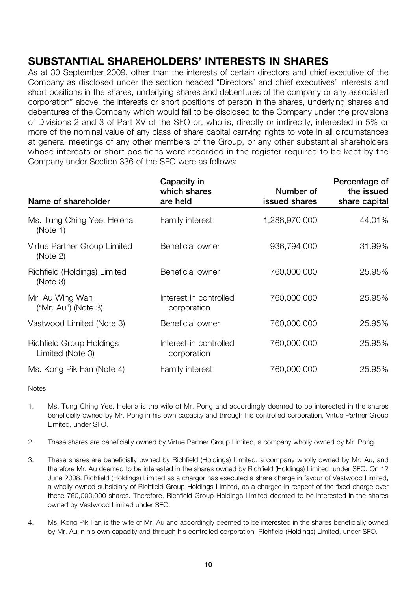# **SUBSTANTIAL SHAREHOLDERS' INTERESTS IN SHARES**

As at 30 September 2009, other than the interests of certain directors and chief executive of the Company as disclosed under the section headed "Directors' and chief executives' interests and short positions in the shares, underlying shares and debentures of the company or any associated corporation" above, the interests or short positions of person in the shares, underlying shares and debentures of the Company which would fall to be disclosed to the Company under the provisions of Divisions 2 and 3 of Part XV of the SFO or, who is, directly or indirectly, interested in 5% or more of the nominal value of any class of share capital carrying rights to vote in all circumstances at general meetings of any other members of the Group, or any other substantial shareholders whose interests or short positions were recorded in the register required to be kept by the Company under Section 336 of the SFO were as follows:

| Name of shareholder                          | Capacity in<br>which shares<br>are held | Number of<br>issued shares | Percentage of<br>the issued<br>share capital |
|----------------------------------------------|-----------------------------------------|----------------------------|----------------------------------------------|
| Ms. Tung Ching Yee, Helena<br>(Note 1)       | Family interest                         | 1,288,970,000              | 44.01%                                       |
| Virtue Partner Group Limited<br>(Note 2)     | Beneficial owner                        | 936.794.000                | 31.99%                                       |
| Richfield (Holdings) Limited<br>(Note 3)     | Beneficial owner                        | 760,000,000                | 25.95%                                       |
| Mr. Au Wing Wah<br>("Mr. Au") (Note 3)       | Interest in controlled<br>corporation   | 760,000,000                | 25.95%                                       |
| Vastwood Limited (Note 3)                    | Beneficial owner                        | 760,000,000                | 25.95%                                       |
| Richfield Group Holdings<br>Limited (Note 3) | Interest in controlled<br>corporation   | 760,000,000                | 25.95%                                       |
| Ms. Kong Pik Fan (Note 4)                    | Family interest                         | 760.000.000                | 25.95%                                       |

Notes:

- 1. Ms. Tung Ching Yee, Helena is the wife of Mr. Pong and accordingly deemed to be interested in the shares beneficially owned by Mr. Pong in his own capacity and through his controlled corporation, Virtue Partner Group Limited, under SFO.
- 2. These shares are beneficially owned by Virtue Partner Group Limited, a company wholly owned by Mr. Pong.
- 3. These shares are beneficially owned by Richfield (Holdings) Limited, a company wholly owned by Mr. Au, and therefore Mr. Au deemed to be interested in the shares owned by Richfield (Holdings) Limited, under SFO. On 12 June 2008, Richfield (Holdings) Limited as a chargor has executed a share charge in favour of Vastwood Limited, a wholly-owned subsidiary of Richfield Group Holdings Limited, as a chargee in respect of the fixed charge over these 760,000,000 shares. Therefore, Richfield Group Holdings Limited deemed to be interested in the shares owned by Vastwood Limited under SFO.
- 4. Ms. Kong Pik Fan is the wife of Mr. Au and accordingly deemed to be interested in the shares beneficially owned by Mr. Au in his own capacity and through his controlled corporation, Richfield (Holdings) Limited, under SFO.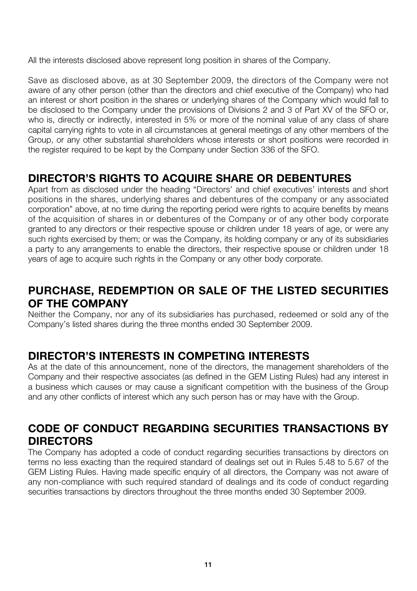All the interests disclosed above represent long position in shares of the Company.

Save as disclosed above, as at 30 September 2009, the directors of the Company were not aware of any other person (other than the directors and chief executive of the Company) who had an interest or short position in the shares or underlying shares of the Company which would fall to be disclosed to the Company under the provisions of Divisions 2 and 3 of Part XV of the SFO or, who is, directly or indirectly, interested in 5% or more of the nominal value of any class of share capital carrying rights to vote in all circumstances at general meetings of any other members of the Group, or any other substantial shareholders whose interests or short positions were recorded in the register required to be kept by the Company under Section 336 of the SFO.

# **DIRECTOR'S RIGHTS TO ACQUIRE SHARE OR DEBENTURES**

Apart from as disclosed under the heading "Directors' and chief executives' interests and short positions in the shares, underlying shares and debentures of the company or any associated corporation" above, at no time during the reporting period were rights to acquire benefits by means of the acquisition of shares in or debentures of the Company or of any other body corporate granted to any directors or their respective spouse or children under 18 years of age, or were any such rights exercised by them; or was the Company, its holding company or any of its subsidiaries a party to any arrangements to enable the directors, their respective spouse or children under 18 years of age to acquire such rights in the Company or any other body corporate.

# **PURCHASE, REDEMPTION OR SALE OF THE LISTED SECURITIES OF THE COMPANY**

Neither the Company, nor any of its subsidiaries has purchased, redeemed or sold any of the Company's listed shares during the three months ended 30 September 2009.

# **DIRECTOR'S INTERESTS IN COMPETING INTERESTS**

As at the date of this announcement, none of the directors, the management shareholders of the Company and their respective associates (as defined in the GEM Listing Rules) had any interest in a business which causes or may cause a significant competition with the business of the Group and any other conflicts of interest which any such person has or may have with the Group.

# **CODE OF CONDUCT REGARDING SECURITIES TRANSACTIONS BY DIRECTORS**

The Company has adopted a code of conduct regarding securities transactions by directors on terms no less exacting than the required standard of dealings set out in Rules 5.48 to 5.67 of the GEM Listing Rules. Having made specific enquiry of all directors, the Company was not aware of any non-compliance with such required standard of dealings and its code of conduct regarding securities transactions by directors throughout the three months ended 30 September 2009.